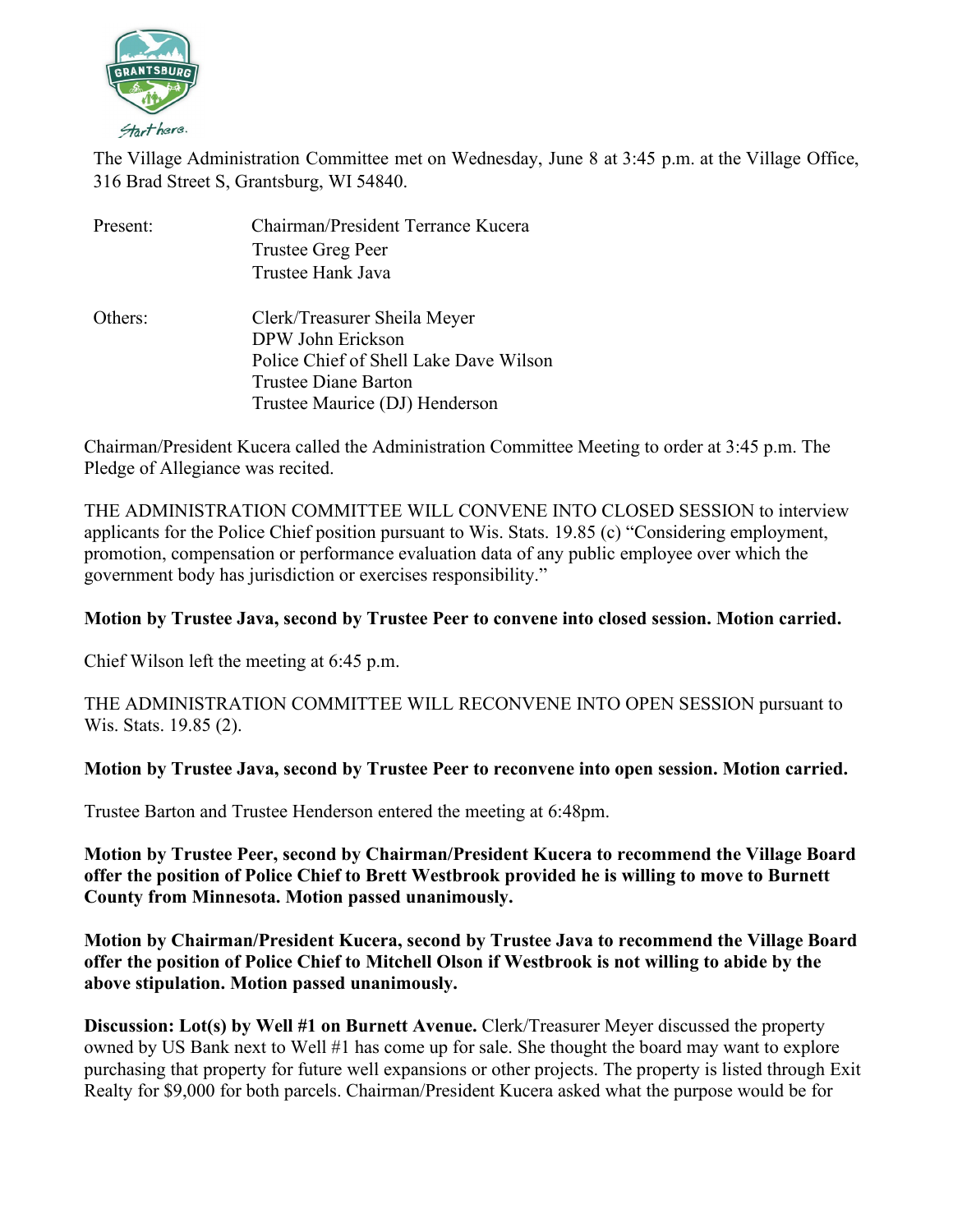

The Village Administration Committee met on Wednesday, June 8 at 3:45 p.m. at the Village Office, 316 Brad Street S, Grantsburg, WI 54840.

| Present: | Chairman/President Terrance Kucera     |
|----------|----------------------------------------|
|          | Trustee Greg Peer                      |
|          | Trustee Hank Java                      |
| Others:  | Clerk/Treasurer Sheila Meyer           |
|          | DPW John Erickson                      |
|          | Police Chief of Shell Lake Dave Wilson |
|          | Trustee Diane Barton                   |
|          | Trustee Maurice (DJ) Henderson         |

Chairman/President Kucera called the Administration Committee Meeting to order at 3:45 p.m. The Pledge of Allegiance was recited.

THE ADMINISTRATION COMMITTEE WILL CONVENE INTO CLOSED SESSION to interview applicants for the Police Chief position pursuant to Wis. Stats. 19.85 (c) "Considering employment, promotion, compensation or performance evaluation data of any public employee over which the government body has jurisdiction or exercises responsibility."

## **Motion by Trustee Java, second by Trustee Peer to convene into closed session. Motion carried.**

Chief Wilson left the meeting at 6:45 p.m.

THE ADMINISTRATION COMMITTEE WILL RECONVENE INTO OPEN SESSION pursuant to Wis. Stats. 19.85 (2).

## **Motion by Trustee Java, second by Trustee Peer to reconvene into open session. Motion carried.**

Trustee Barton and Trustee Henderson entered the meeting at 6:48pm.

**Motion by Trustee Peer, second by Chairman/President Kucera to recommend the Village Board offer the position of Police Chief to Brett Westbrook provided he is willing to move to Burnett County from Minnesota. Motion passed unanimously.**

**Motion by Chairman/President Kucera, second by Trustee Java to recommend the Village Board offer the position of Police Chief to Mitchell Olson if Westbrook is not willing to abide by the above stipulation. Motion passed unanimously.**

**Discussion: Lot(s) by Well #1 on Burnett Avenue.** Clerk/Treasurer Meyer discussed the property owned by US Bank next to Well #1 has come up for sale. She thought the board may want to explore purchasing that property for future well expansions or other projects. The property is listed through Exit Realty for \$9,000 for both parcels. Chairman/President Kucera asked what the purpose would be for